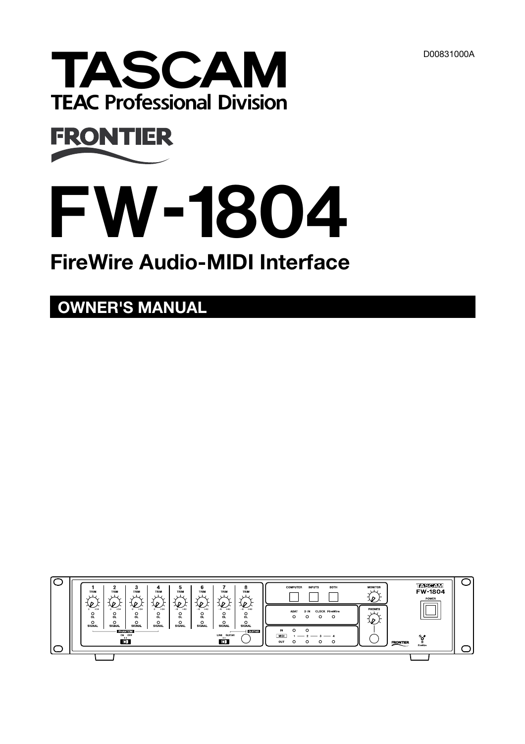



# **FW-1804**

# **FireWire Audio-MIDI Interface**

**OWNER'S MANUAL**

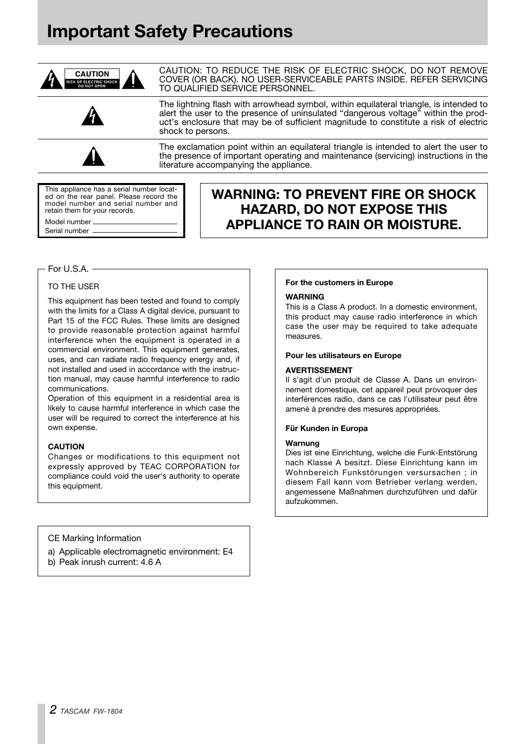# **Important Safety Precautions**



CAUTION: TO REDUCE THE RISK OF ELECTRIC SHOCK, DO NOT REMOVE COVER (OR BACK). NO USER-SERVICEABLE PARTS INSIDE. REFER SERVICING TO QUALIFIED SERVICE PERSONNEL.

The lightning flash with arrowhead symbol, within equilateral triangle, is intended to alert the user to the presence of uninsulated "dangerous voltage" within the product's enclosure that may be of sufficient magnitude to constitute a risk of electric shock to persons.

The exclamation point within an equilateral triangle is intended to alert the user to the presence of important operating and maintenance (servicing) instructions in the literature accompanying the appliance.

This appliance has a serial number located on the rear panel. Please record the model number and serial number and retain them for your records.

Model number Serial number

## **WARNING: TO PREVENT FIRE OR SHOCK HAZARD, DO NOT EXPOSE THIS APPLIANCE TO RAIN OR MOISTURE.**

## For U.S.A.

## TO THE USER

This equipment has been tested and found to comply with the limits for a Class A digital device, pursuant to Part 15 of the FCC Rules. These limits are designed to provide reasonable protection against harmful interference when the equipment is operated in a commercial environment. This equipment generates, uses, and can radiate radio frequency energy and, if not installed and used in accordance with the instruction manual, may cause harmful interference to radio communications.

Operation of this equipment in a residential area is likely to cause harmful interference in which case the user will be required to correct the interference at his own expense.

#### **CAUTION**

Changes or modifications to this equipment not expressly approved by TEAC CORPORATION for compliance could void the user's authority to operate this equipment.

## CE Marking Information

- a) Applicable electromagnetic environment: E4
- b) Peak inrush current: 4.6 A

#### **For the customers in Europe**

#### **WARNING**

This is a Class A product. In a domestic environment, this product may cause radio interference in which case the user may be required to take adequate measures.

#### **Pour les utilisateurs en Europe**

#### **AVERTISSEMENT**

Il s'agit d'un produit de Classe A. Dans un environnement domestique, cet appareil peut provoquer des interférences radio, dans ce cas l'utilisateur peut être amené à prendre des mesures appropriées.

#### **Für Kunden in Europa**

#### **Warnung**

Dies ist eine Einrichtung, welche die Funk-Entstörung nach Klasse A besitzt. Diese Einrichtung kann im Wohnbereich Funkstörungen versursachen ; in diesem Fall kann vom Betrieber verlang werden, angemessene Maßnahmen durchzuführen und dafür aufzukommen.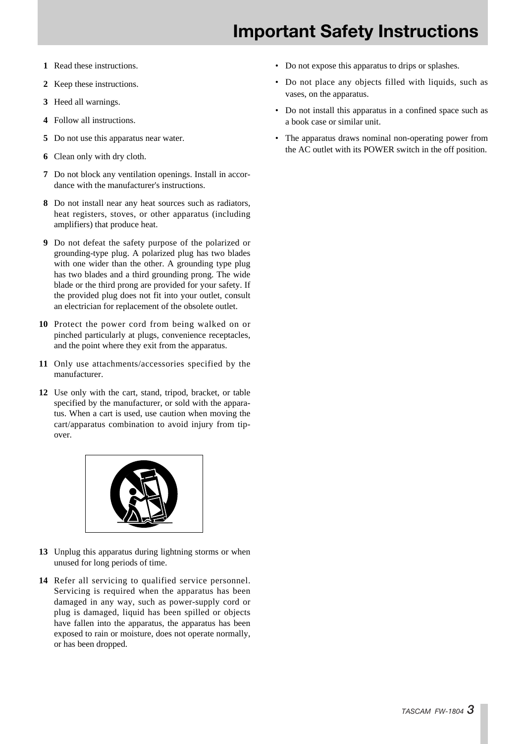- **1** Read these instructions.
- **2** Keep these instructions.
- **3** Heed all warnings.
- **4** Follow all instructions.
- **5** Do not use this apparatus near water.
- **6** Clean only with dry cloth.
- **7** Do not block any ventilation openings. Install in accordance with the manufacturer's instructions.
- **8** Do not install near any heat sources such as radiators, heat registers, stoves, or other apparatus (including amplifiers) that produce heat.
- **9** Do not defeat the safety purpose of the polarized or grounding-type plug. A polarized plug has two blades with one wider than the other. A grounding type plug has two blades and a third grounding prong. The wide blade or the third prong are provided for your safety. If the provided plug does not fit into your outlet, consult an electrician for replacement of the obsolete outlet.
- **10** Protect the power cord from being walked on or pinched particularly at plugs, convenience receptacles, and the point where they exit from the apparatus.
- **11** Only use attachments/accessories specified by the manufacturer.
- **12** Use only with the cart, stand, tripod, bracket, or table specified by the manufacturer, or sold with the apparatus. When a cart is used, use caution when moving the cart/apparatus combination to avoid injury from tipover.



- **13** Unplug this apparatus during lightning storms or when unused for long periods of time.
- **14** Refer all servicing to qualified service personnel. Servicing is required when the apparatus has been damaged in any way, such as power-supply cord or plug is damaged, liquid has been spilled or objects have fallen into the apparatus, the apparatus has been exposed to rain or moisture, does not operate normally, or has been dropped.
- Do not expose this apparatus to drips or splashes.
- Do not place any objects filled with liquids, such as vases, on the apparatus.
- Do not install this apparatus in a confined space such as a book case or similar unit.
- The apparatus draws nominal non-operating power from the AC outlet with its POWER switch in the off position.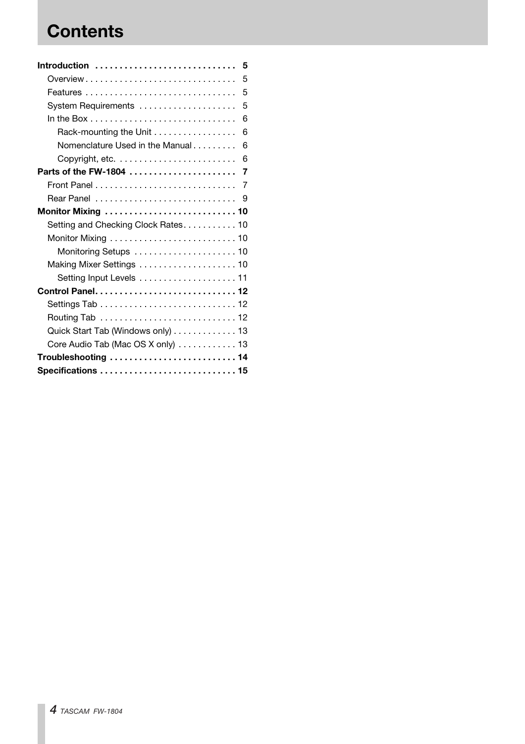# **Contents**

| Introduction                        | 5   |
|-------------------------------------|-----|
| Overview                            | 5   |
|                                     | 5   |
| System Requirements                 | 5   |
|                                     | 6   |
| Rack-mounting the Unit              | 6   |
| Nomenclature Used in the Manual     | 6   |
|                                     | 6   |
| Parts of the FW-1804                | 7   |
|                                     | 7   |
|                                     | - 9 |
| Monitor Mixing  10                  |     |
| Setting and Checking Clock Rates 10 |     |
|                                     |     |
|                                     |     |
|                                     |     |
|                                     |     |
|                                     |     |
|                                     |     |
|                                     |     |
| Quick Start Tab (Windows only) 13   |     |
| Core Audio Tab (Mac OS X only) 13   |     |
| Troubleshooting  14                 |     |
| Specifications  15                  |     |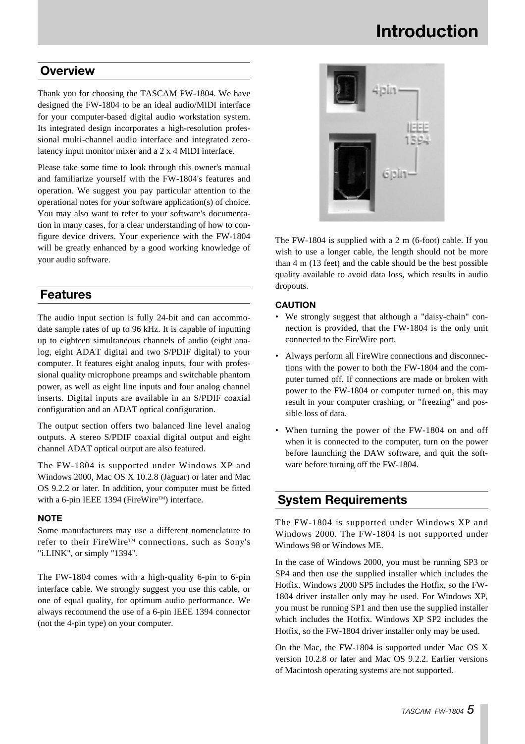# **Introduction**

## **Overview**

Thank you for choosing the TASCAM FW-1804. We have designed the FW-1804 to be an ideal audio/MIDI interface for your computer-based digital audio workstation system. Its integrated design incorporates a high-resolution professional multi-channel audio interface and integrated zerolatency input monitor mixer and a 2 x 4 MIDI interface.

Please take some time to look through this owner's manual and familiarize yourself with the FW-1804's features and operation. We suggest you pay particular attention to the operational notes for your software application(s) of choice. You may also want to refer to your software's documentation in many cases, for a clear understanding of how to configure device drivers. Your experience with the FW-1804 will be greatly enhanced by a good working knowledge of your audio software.

## **Features**

The audio input section is fully 24-bit and can accommodate sample rates of up to 96 kHz. It is capable of inputting up to eighteen simultaneous channels of audio (eight analog, eight ADAT digital and two S/PDIF digital) to your computer. It features eight analog inputs, four with professional quality microphone preamps and switchable phantom power, as well as eight line inputs and four analog channel inserts. Digital inputs are available in an S/PDIF coaxial configuration and an ADAT optical configuration.

The output section offers two balanced line level analog outputs. A stereo S/PDIF coaxial digital output and eight channel ADAT optical output are also featured.

The FW-1804 is supported under Windows XP and Windows 2000, Mac OS X 10.2.8 (Jaguar) or later and Mac OS 9.2.2 or later. In addition, your computer must be fitted with a 6-pin IEEE 1394 (FireWire™) interface.

## **NOTE**

Some manufacturers may use a different nomenclature to refer to their FireWire™ connections, such as Sony's "i.LINK", or simply "1394".

The FW-1804 comes with a high-quality 6-pin to 6-pin interface cable. We strongly suggest you use this cable, or one of equal quality, for optimum audio performance. We always recommend the use of a 6-pin IEEE 1394 connector (not the 4-pin type) on your computer.



The FW-1804 is supplied with a 2 m (6-foot) cable. If you wish to use a longer cable, the length should not be more than 4 m (13 feet) and the cable should be the best possible quality available to avoid data loss, which results in audio dropouts.

## **CAUTION**

- We strongly suggest that although a "daisy-chain" connection is provided, that the FW-1804 is the only unit connected to the FireWire port.
- Always perform all FireWire connections and disconnections with the power to both the FW-1804 and the computer turned off. If connections are made or broken with power to the FW-1804 or computer turned on, this may result in your computer crashing, or "freezing" and possible loss of data.
- When turning the power of the FW-1804 on and off when it is connected to the computer, turn on the power before launching the DAW software, and quit the software before turning off the FW-1804.

## **System Requirements**

The FW-1804 is supported under Windows XP and Windows 2000. The FW-1804 is not supported under Windows 98 or Windows ME.

In the case of Windows 2000, you must be running SP3 or SP4 and then use the supplied installer which includes the Hotfix. Windows 2000 SP5 includes the Hotfix, so the FW-1804 driver installer only may be used. For Windows XP, you must be running SP1 and then use the supplied installer which includes the Hotfix. Windows XP SP2 includes the Hotfix, so the FW-1804 driver installer only may be used.

On the Mac, the FW-1804 is supported under Mac OS X version 10.2.8 or later and Mac OS 9.2.2. Earlier versions of Macintosh operating systems are not supported.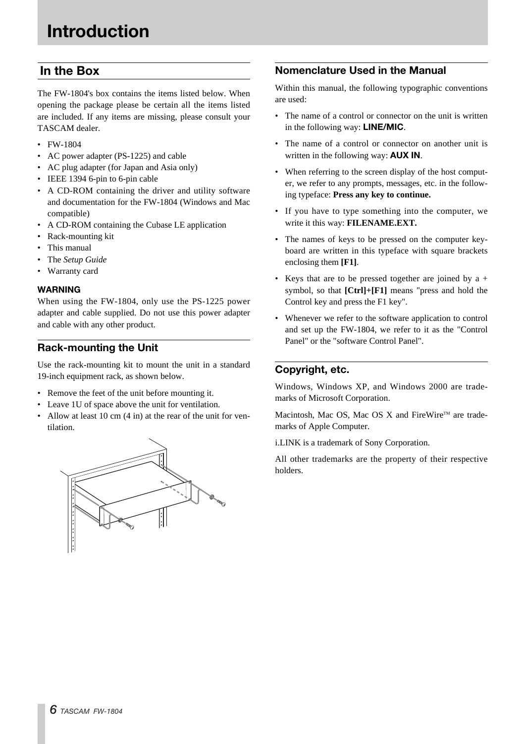## **In the Box**

The FW-1804's box contains the items listed below. When opening the package please be certain all the items listed are included. If any items are missing, please consult your TASCAM dealer.

- FW-1804
- AC power adapter (PS-1225) and cable
- AC plug adapter (for Japan and Asia only)
- IEEE 1394 6-pin to 6-pin cable
- A CD-ROM containing the driver and utility software and documentation for the FW-1804 (Windows and Mac compatible)
- A CD-ROM containing the Cubase LE application
- Rack-mounting kit
- This manual
- The *Setup Guide*
- Warranty card

## **WARNING**

When using the FW-1804, only use the PS-1225 power adapter and cable supplied. Do not use this power adapter and cable with any other product.

## **Rack-mounting the Unit**

Use the rack-mounting kit to mount the unit in a standard 19-inch equipment rack, as shown below.

- Remove the feet of the unit before mounting it.
- Leave 1U of space above the unit for ventilation.
- Allow at least 10 cm (4 in) at the rear of the unit for ventilation.



## **Nomenclature Used in the Manual**

Within this manual, the following typographic conventions are used:

- The name of a control or connector on the unit is written in the following way: **LINE/MIC**.
- The name of a control or connector on another unit is written in the following way: **AUX IN**.
- When referring to the screen display of the host computer, we refer to any prompts, messages, etc. in the following typeface: **Press any key to continue.**
- If you have to type something into the computer, we write it this way: **FILENAME.EXT.**
- The names of keys to be pressed on the computer keyboard are written in this typeface with square brackets enclosing them **[F1]**.
- Keys that are to be pressed together are joined by  $a +$ symbol, so that **[Ctrl]+[F1]** means "press and hold the Control key and press the F1 key".
- Whenever we refer to the software application to control and set up the FW-1804, we refer to it as the "Control Panel" or the "software Control Panel".

## **Copyright, etc.**

Windows, Windows XP, and Windows 2000 are trademarks of Microsoft Corporation.

Macintosh, Mac OS, Mac OS X and FireWire<sup>™</sup> are trademarks of Apple Computer.

i.LINK is a trademark of Sony Corporation.

All other trademarks are the property of their respective holders.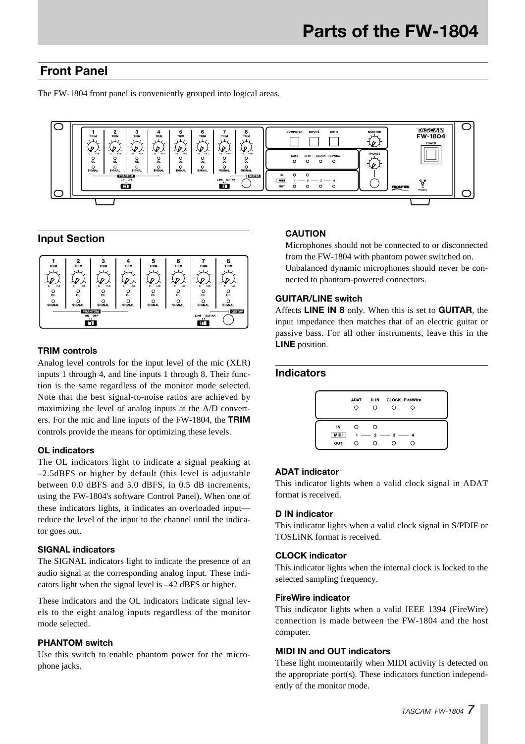## **Front Panel**

The FW-1804 front panel is conveniently grouped into logical areas.



## **Input Section**



## **TRIM controls**

Analog level controls for the input level of the mic (XLR) inputs 1 through 4, and line inputs 1 through 8. Their function is the same regardless of the monitor mode selected. Note that the best signal-to-noise ratios are achieved by maximizing the level of analog inputs at the A/D converters. For the mic and line inputs of the FW-1804, the **TRIM** controls provide the means for optimizing these levels.

## **OL indicators**

The OL indicators light to indicate a signal peaking at –2.5dBFS or higher by default (this level is adjustable between 0.0 dBFS and 5.0 dBFS, in 0.5 dB increments, using the FW-1804's software Control Panel). When one of these indicators lights, it indicates an overloaded input reduce the level of the input to the channel until the indicator goes out.

## **SIGNAL indicators**

The SIGNAL indicators light to indicate the presence of an audio signal at the corresponding analog input. These indicators light when the signal level is –42 dBFS or higher.

These indicators and the OL indicators indicate signal levels to the eight analog inputs regardless of the monitor mode selected.

## **PHANTOM switch**

Use this switch to enable phantom power for the microphone jacks.

## **CAUTION**

Microphones should not be connected to or disconnected from the FW-1804 with phantom power switched on. Unbalanced dynamic microphones should never be connected to phantom-powered connectors.

## **GUITAR/LINE switch**

Affects **LINE IN 8** only. When this is set to **GUITAR**, the input impedance then matches that of an electric guitar or passive bass. For all other instruments, leave this in the **LINE** position.

## **Indicators**

|             | <b>ADAT</b><br>Ω | D IN<br>∩ |                 | <b>CLOCK FireWire</b><br>∩ |  |
|-------------|------------------|-----------|-----------------|----------------------------|--|
| IN          | ⊖                | ∩         |                 |                            |  |
| <b>MIDI</b> |                  |           | $1 - 2 - 3 - 4$ |                            |  |
| OUT         | ∩                | ∩         |                 | ∩                          |  |

## **ADAT indicator**

This indicator lights when a valid clock signal in ADAT format is received.

## **D IN indicator**

This indicator lights when a valid clock signal in S/PDIF or TOSLINK format is received.

## **CLOCK indicator**

This indicator lights when the internal clock is locked to the selected sampling frequency.

#### **FireWire indicator**

This indicator lights when a valid IEEE 1394 (FireWire) connection is made between the FW-1804 and the host computer.

## **MIDI IN and OUT indicators**

These light momentarily when MIDI activity is detected on the appropriate port(s). These indicators function independently of the monitor mode.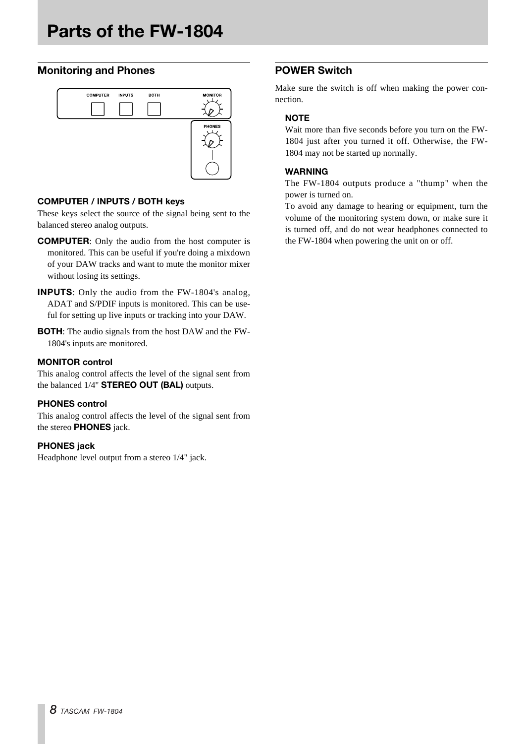## **Monitoring and Phones**



## **COMPUTER / INPUTS / BOTH keys**

These keys select the source of the signal being sent to the balanced stereo analog outputs.

- **COMPUTER**: Only the audio from the host computer is monitored. This can be useful if you're doing a mixdown of your DAW tracks and want to mute the monitor mixer without losing its settings.
- **INPUTS**: Only the audio from the FW-1804's analog, ADAT and S/PDIF inputs is monitored. This can be useful for setting up live inputs or tracking into your DAW.
- **BOTH**: The audio signals from the host DAW and the FW-1804's inputs are monitored.

## **MONITOR control**

This analog control affects the level of the signal sent from the balanced 1/4" **STEREO OUT (BAL)** outputs.

## **PHONES control**

This analog control affects the level of the signal sent from the stereo **PHONES** jack.

## **PHONES jack**

Headphone level output from a stereo 1/4" jack.

## **POWER Switch**

Make sure the switch is off when making the power connection.

## **NOTE**

Wait more than five seconds before you turn on the FW-1804 just after you turned it off. Otherwise, the FW-1804 may not be started up normally.

## **WARNING**

The FW-1804 outputs produce a "thump" when the power is turned on.

To avoid any damage to hearing or equipment, turn the volume of the monitoring system down, or make sure it is turned off, and do not wear headphones connected to the FW-1804 when powering the unit on or off.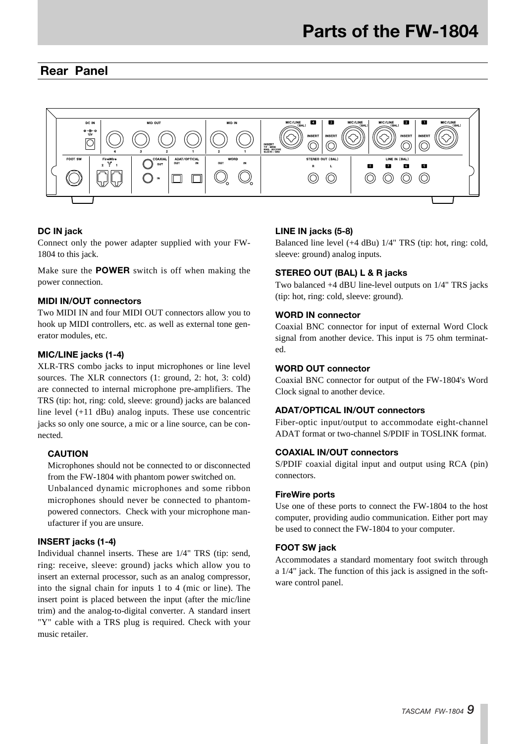## **Rear Panel**



## **DC IN jack**

Connect only the power adapter supplied with your FW-1804 to this jack.

Make sure the **POWER** switch is off when making the power connection.

## **MIDI IN/OUT connectors**

Two MIDI IN and four MIDI OUT connectors allow you to hook up MIDI controllers, etc. as well as external tone generator modules, etc.

## **MIC/LINE jacks (1-4)**

XLR-TRS combo jacks to input microphones or line level sources. The XLR connectors (1: ground, 2: hot, 3: cold) are connected to internal microphone pre-amplifiers. The TRS (tip: hot, ring: cold, sleeve: ground) jacks are balanced line level (+11 dBu) analog inputs. These use concentric jacks so only one source, a mic or a line source, can be connected.

#### **CAUTION**

Microphones should not be connected to or disconnected from the FW-1804 with phantom power switched on. Unbalanced dynamic microphones and some ribbon microphones should never be connected to phantom-

powered connectors. Check with your microphone manufacturer if you are unsure.

## **INSERT jacks (1-4)**

Individual channel inserts. These are 1/4" TRS (tip: send, ring: receive, sleeve: ground) jacks which allow you to insert an external processor, such as an analog compressor, into the signal chain for inputs 1 to 4 (mic or line). The insert point is placed between the input (after the mic/line trim) and the analog-to-digital converter. A standard insert "Y" cable with a TRS plug is required. Check with your music retailer.

#### **LINE IN jacks (5-8)**

Balanced line level (+4 dBu) 1/4" TRS (tip: hot, ring: cold, sleeve: ground) analog inputs.

## **STEREO OUT (BAL) L & R jacks**

Two balanced +4 dBU line-level outputs on 1/4" TRS jacks (tip: hot, ring: cold, sleeve: ground).

#### **WORD IN connector**

Coaxial BNC connector for input of external Word Clock signal from another device. This input is 75 ohm terminated.

## **WORD OUT connector**

Coaxial BNC connector for output of the FW-1804's Word Clock signal to another device.

## **ADAT/OPTICAL IN/OUT connectors**

Fiber-optic input/output to accommodate eight-channel ADAT format or two-channel S/PDIF in TOSLINK format.

## **COAXIAL IN/OUT connectors**

S/PDIF coaxial digital input and output using RCA (pin) connectors.

#### **FireWire ports**

Use one of these ports to connect the FW-1804 to the host computer, providing audio communication. Either port may be used to connect the FW-1804 to your computer.

## **FOOT SW jack**

Accommodates a standard momentary foot switch through a 1/4" jack. The function of this jack is assigned in the software control panel.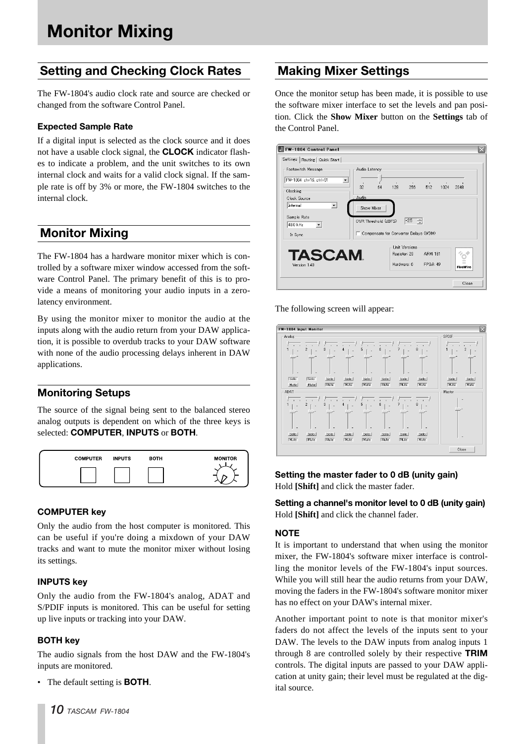## **Setting and Checking Clock Rates**

The FW-1804's audio clock rate and source are checked or changed from the software Control Panel.

## **Expected Sample Rate**

If a digital input is selected as the clock source and it does not have a usable clock signal, the **CLOCK** indicator flashes to indicate a problem, and the unit switches to its own internal clock and waits for a valid clock signal. If the sample rate is off by 3% or more, the FW-1804 switches to the internal clock.

## **Monitor Mixing**

The FW-1804 has a hardware monitor mixer which is controlled by a software mixer window accessed from the software Control Panel. The primary benefit of this is to provide a means of monitoring your audio inputs in a zerolatency environment.

By using the monitor mixer to monitor the audio at the inputs along with the audio return from your DAW application, it is possible to overdub tracks to your DAW software with none of the audio processing delays inherent in DAW applications.

## **Monitoring Setups**

The source of the signal being sent to the balanced stereo analog outputs is dependent on which of the three keys is selected: **COMPUTER**, **INPUTS** or **BOTH**.



## **COMPUTER key**

Only the audio from the host computer is monitored. This can be useful if you're doing a mixdown of your DAW tracks and want to mute the monitor mixer without losing its settings.

## **INPUTS key**

Only the audio from the FW-1804's analog, ADAT and S/PDIF inputs is monitored. This can be useful for setting up live inputs or tracking into your DAW.

## **BOTH key**

The audio signals from the host DAW and the FW-1804's inputs are monitored.

• The default setting is **BOTH**.

## **Making Mixer Settings**

Once the monitor setup has been made, it is possible to use the software mixer interface to set the levels and pan position. Click the **Show Mixer** button on the **Settings** tab of the Control Panel.

| FW-1804 Control Panel                                                |                                       |    |                             |               |                      |      | ×               |
|----------------------------------------------------------------------|---------------------------------------|----|-----------------------------|---------------|----------------------|------|-----------------|
| Settings   Routing   Quick Start                                     |                                       |    |                             |               |                      |      |                 |
| Footswitch Message                                                   | Audio Latency                         |    |                             |               |                      |      |                 |
| FW-1804: ch=16, ctrl=31<br>$\overline{\phantom{a}}$                  | 32                                    | 64 | 128                         | 256           | 512                  | 1024 | 2048            |
| Clocking                                                             |                                       |    |                             |               |                      |      |                 |
| Clock Source                                                         | Audio                                 |    |                             |               |                      |      |                 |
| ≖<br>Internal<br>Sample Rate<br>48.0 kHz<br>$\overline{\phantom{a}}$ | Show Mixer<br>OVR Threshold (dBFS)    |    |                             | $-2.5$<br>÷   |                      |      |                 |
| In Sync                                                              | Compensate for Converter Delays (WDM) |    |                             |               |                      |      |                 |
| <b>TASCAM</b><br>Version 1.40                                        |                                       |    | Register: 20<br>Hardware: 6 | Unit Versions | ARM: 181<br>FPGA: 49 |      | <b>FireWire</b> |
|                                                                      |                                       |    |                             |               |                      |      | Close           |

The following screen will appear:



## **Setting the master fader to 0 dB (unity gain)** Hold **[Shift]** and click the master fader.

**Setting a channel's monitor level to 0 dB (unity gain)** Hold **[Shift]** and click the channel fader.

## **NOTE**

It is important to understand that when using the monitor mixer, the FW-1804's software mixer interface is controlling the monitor levels of the FW-1804's input sources. While you will still hear the audio returns from your DAW, moving the faders in the FW-1804's software monitor mixer has no effect on your DAW's internal mixer.

Another important point to note is that monitor mixer's faders do not affect the levels of the inputs sent to your DAW. The levels to the DAW inputs from analog inputs 1 through 8 are controlled solely by their respective **TRIM** controls. The digital inputs are passed to your DAW application at unity gain; their level must be regulated at the digital source.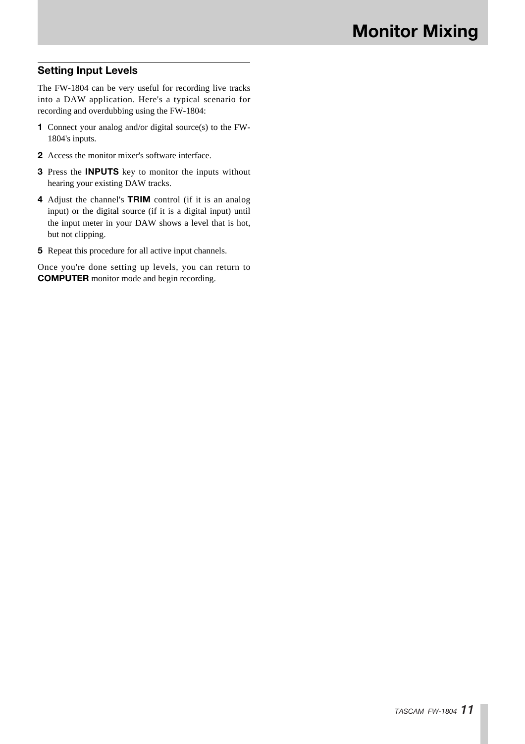## **Setting Input Levels**

The FW-1804 can be very useful for recording live tracks into a DAW application. Here's a typical scenario for recording and overdubbing using the FW-1804:

- **1** Connect your analog and/or digital source(s) to the FW-1804's inputs.
- **2** Access the monitor mixer's software interface.
- **3** Press the **INPUTS** key to monitor the inputs without hearing your existing DAW tracks.
- **4** Adjust the channel's **TRIM** control (if it is an analog input) or the digital source (if it is a digital input) until the input meter in your DAW shows a level that is hot, but not clipping.
- **5** Repeat this procedure for all active input channels.

Once you're done setting up levels, you can return to **COMPUTER** monitor mode and begin recording.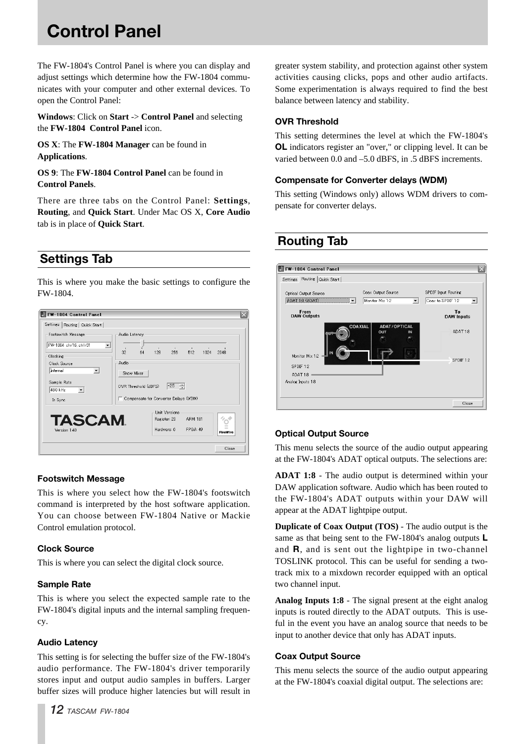# **Control Panel**

The FW-1804's Control Panel is where you can display and adjust settings which determine how the FW-1804 communicates with your computer and other external devices. To open the Control Panel:

**Windows**: Click on **Start** -> **Control Panel** and selecting the **FW-1804 Control Panel** icon.

**OS X**: The **FW-1804 Manager** can be found in **Applications**.

**OS 9**: The **FW-1804 Control Panel** can be found in **Control Panels**.

There are three tabs on the Control Panel: **Settings**, **Routing**, and **Quick Start**. Under Mac OS X, **Core Audio** tab is in place of **Quick Start**.

## **Settings Tab**

This is where you make the basic settings to configure the FW-1804.



## **Footswitch Message**

This is where you select how the FW-1804's footswitch command is interpreted by the host software application. You can choose between FW-1804 Native or Mackie Control emulation protocol.

## **Clock Source**

This is where you can select the digital clock source.

## **Sample Rate**

This is where you select the expected sample rate to the FW-1804's digital inputs and the internal sampling frequency.

## **Audio Latency**

This setting is for selecting the buffer size of the FW-1804's audio performance. The FW-1804's driver temporarily stores input and output audio samples in buffers. Larger buffer sizes will produce higher latencies but will result in greater system stability, and protection against other system activities causing clicks, pops and other audio artifacts. Some experimentation is always required to find the best balance between latency and stability.

## **OVR Threshold**

This setting determines the level at which the FW-1804's **OL** indicators register an "over," or clipping level. It can be varied between 0.0 and –5.0 dBFS, in .5 dBFS increments.

## **Compensate for Converter delays (WDM)**

This setting (Windows only) allows WDM drivers to compensate for converter delays.

## **Routing Tab**

| FW-1804 Control Panel                                |                                                                   |                                                                  |
|------------------------------------------------------|-------------------------------------------------------------------|------------------------------------------------------------------|
| Settings Routing Quick Start                         |                                                                   |                                                                  |
| <b>Optical Output Source</b><br>ADAT 18 (ADAT)<br>▼  | Coax Output Source<br>Monitor Mix 1:2<br>$\overline{\phantom{a}}$ | SPDIF Input Routing<br>Coax to SPDIF 1:2<br>$\blacktriangledown$ |
| From<br><b>DAW Outputs</b>                           |                                                                   | To<br><b>DAW Inputs</b>                                          |
| IN<br>Monitor Mix 12                                 | COAXIAL<br><b>ADAT/OPTICAL</b><br>OUT<br>IN                       | ADAT 1:8<br>SPDIF <sub>12</sub>                                  |
| SPDIF <sub>12</sub><br>ADAT 1:8<br>Analog Inputs 1:8 |                                                                   |                                                                  |
|                                                      |                                                                   |                                                                  |
|                                                      |                                                                   | Close                                                            |

## **Optical Output Source**

This menu selects the source of the audio output appearing at the FW-1804's ADAT optical outputs. The selections are:

**ADAT 1:8** - The audio output is determined within your DAW application software. Audio which has been routed to the FW-1804's ADAT outputs within your DAW will appear at the ADAT lightpipe output.

**Duplicate of Coax Output (TOS)** - The audio output is the same as that being sent to the FW-1804's analog outputs **L** and **R**, and is sent out the lightpipe in two-channel TOSLINK protocol. This can be useful for sending a twotrack mix to a mixdown recorder equipped with an optical two channel input.

**Analog Inputs 1:8** - The signal present at the eight analog inputs is routed directly to the ADAT outputs. This is useful in the event you have an analog source that needs to be input to another device that only has ADAT inputs.

## **Coax Output Source**

This menu selects the source of the audio output appearing at the FW-1804's coaxial digital output. The selections are: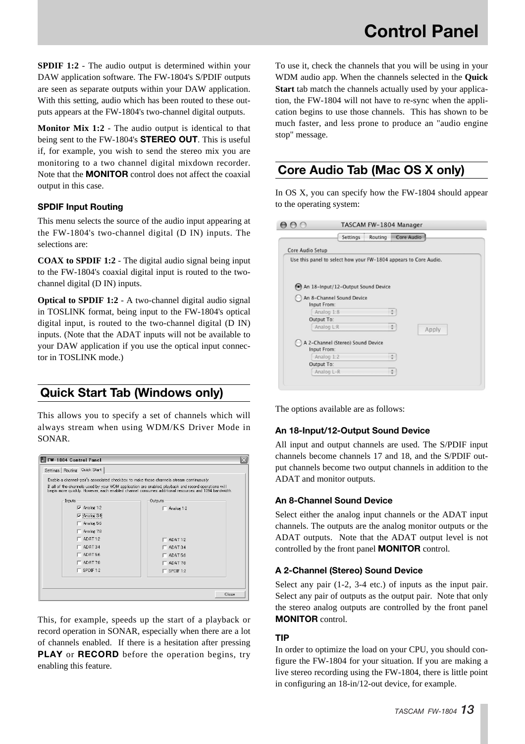**SPDIF 1:2** - The audio output is determined within your DAW application software. The FW-1804's S/PDIF outputs are seen as separate outputs within your DAW application. With this setting, audio which has been routed to these outputs appears at the FW-1804's two-channel digital outputs.

**Monitor Mix 1:2** - The audio output is identical to that being sent to the FW-1804's **STEREO OUT**. This is useful if, for example, you wish to send the stereo mix you are monitoring to a two channel digital mixdown recorder. Note that the **MONITOR** control does not affect the coaxial output in this case.

## **SPDIF Input Routing**

This menu selects the source of the audio input appearing at the FW-1804's two-channel digital (D IN) inputs. The selections are:

**COAX to SPDIF 1:2** - The digital audio signal being input to the FW-1804's coaxial digital input is routed to the twochannel digital (D IN) inputs.

**Optical to SPDIF 1:2** - A two-channel digital audio signal in TOSLINK format, being input to the FW-1804's optical digital input, is routed to the two-channel digital (D IN) inputs. (Note that the ADAT inputs will not be available to your DAW application if you use the optical input connector in TOSLINK mode.)

## **Quick Start Tab (Windows only)**

This allows you to specify a set of channels which will always stream when using WDM/KS Driver Mode in SONAR.

| FW-1804 Control Panel                                                                   | $\times$                                                                                                                                                                                                    |
|-----------------------------------------------------------------------------------------|-------------------------------------------------------------------------------------------------------------------------------------------------------------------------------------------------------------|
| Quick Start<br>Settings   Routing                                                       |                                                                                                                                                                                                             |
| Enable a channel-pair's associated checkbox to make those channels stream continuously. |                                                                                                                                                                                                             |
|                                                                                         | If all of the channels used by your WDM application are enabled, playback and record operations will<br>begin more quickly. However, each enabled channel consumes additional resources and 1394 bandwidth. |
| Inputs                                                                                  | Outputs                                                                                                                                                                                                     |
| $\overline{\mathbf{v}}$ Analog 1:2                                                      | $-$ Analog 1:2                                                                                                                                                                                              |
| Analog 34<br>⊽                                                                          |                                                                                                                                                                                                             |
| Analog 5:6                                                                              |                                                                                                                                                                                                             |
| Analog 7:8                                                                              |                                                                                                                                                                                                             |
| ADAT <sub>12</sub>                                                                      | $-$ ADAT 1:2                                                                                                                                                                                                |
| ADAT 3:4                                                                                | $\sqsubset$ ADAT 3:4                                                                                                                                                                                        |
| ADAT 5:6                                                                                | $\Box$ ADAT 5:6                                                                                                                                                                                             |
| ADAT 7:8                                                                                | $\Box$ ADAT 7:8                                                                                                                                                                                             |
| $\Gamma$ SPDIF 1:2                                                                      | $\Gamma$ SPDIF 1:2                                                                                                                                                                                          |
|                                                                                         |                                                                                                                                                                                                             |
|                                                                                         |                                                                                                                                                                                                             |
|                                                                                         | Close                                                                                                                                                                                                       |

This, for example, speeds up the start of a playback or record operation in SONAR, especially when there are a lot of channels enabled. If there is a hesitation after pressing **PLAY** or **RECORD** before the operation begins, try enabling this feature.

To use it, check the channels that you will be using in your WDM audio app. When the channels selected in the **Quick Start** tab match the channels actually used by your application, the FW-1804 will not have to re-sync when the application begins to use those channels. This has shown to be much faster, and less prone to produce an "audio engine stop" message.

## **Core Audio Tab (Mac OS X only)**

In OS X, you can specify how the FW-1804 should appear to the operating system:

|                  |                                    | TASCAM FW-1804 Manager |                                                                  |
|------------------|------------------------------------|------------------------|------------------------------------------------------------------|
|                  | Settings                           | Routing                | Core Audio                                                       |
| Core Audio Setup |                                    |                        |                                                                  |
|                  |                                    |                        | Use this panel to select how your FW-1804 appears to Core Audio. |
|                  |                                    |                        |                                                                  |
|                  |                                    |                        |                                                                  |
|                  | An 18-Input/12-Output Sound Device |                        |                                                                  |
|                  | An 8-Channel Sound Device          |                        |                                                                  |
| Input From:      |                                    |                        |                                                                  |
|                  |                                    |                        |                                                                  |
|                  | Analog 1:8                         | ÷                      |                                                                  |
| Output To:       |                                    |                        |                                                                  |
|                  | Analog L:R                         |                        |                                                                  |
|                  |                                    |                        | Apply                                                            |
|                  | A 2-Channel (Stereo) Sound Device  |                        |                                                                  |
| Input From:      |                                    |                        |                                                                  |
|                  | Analog 1:2                         |                        |                                                                  |
| Output To:       |                                    |                        |                                                                  |
|                  | Analog L-R                         | ÷                      |                                                                  |

The options available are as follows:

## **An 18-Input/12-Output Sound Device**

All input and output channels are used. The S/PDIF input channels become channels 17 and 18, and the S/PDIF output channels become two output channels in addition to the ADAT and monitor outputs.

## **An 8-Channel Sound Device**

Select either the analog input channels or the ADAT input channels. The outputs are the analog monitor outputs or the ADAT outputs. Note that the ADAT output level is not controlled by the front panel **MONITOR** control.

## **A 2-Channel (Stereo) Sound Device**

Select any pair (1-2, 3-4 etc.) of inputs as the input pair. Select any pair of outputs as the output pair. Note that only the stereo analog outputs are controlled by the front panel **MONITOR** control.

## **TIP**

In order to optimize the load on your CPU, you should configure the FW-1804 for your situation. If you are making a live stereo recording using the FW-1804, there is little point in configuring an 18-in/12-out device, for example.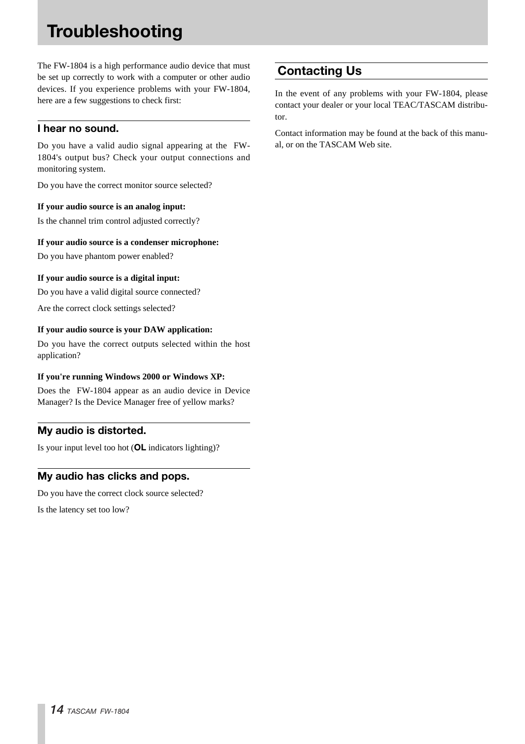# **Troubleshooting**

The FW-1804 is a high performance audio device that must be set up correctly to work with a computer or other audio devices. If you experience problems with your FW-1804, here are a few suggestions to check first:

## **I hear no sound.**

Do you have a valid audio signal appearing at the FW-1804's output bus? Check your output connections and monitoring system.

Do you have the correct monitor source selected?

## **If your audio source is an analog input:**

Is the channel trim control adjusted correctly?

#### **If your audio source is a condenser microphone:**

Do you have phantom power enabled?

## **If your audio source is a digital input:**

Do you have a valid digital source connected?

Are the correct clock settings selected?

## **If your audio source is your DAW application:**

Do you have the correct outputs selected within the host application?

## **If you're running Windows 2000 or Windows XP:**

Does the FW-1804 appear as an audio device in Device Manager? Is the Device Manager free of yellow marks?

## **My audio is distorted.**

Is your input level too hot (**OL** indicators lighting)?

## **My audio has clicks and pops.**

Do you have the correct clock source selected?

Is the latency set too low?

## **Contacting Us**

In the event of any problems with your FW-1804, please contact your dealer or your local TEAC/TASCAM distributor.

Contact information may be found at the back of this manual, or on the TASCAM Web site.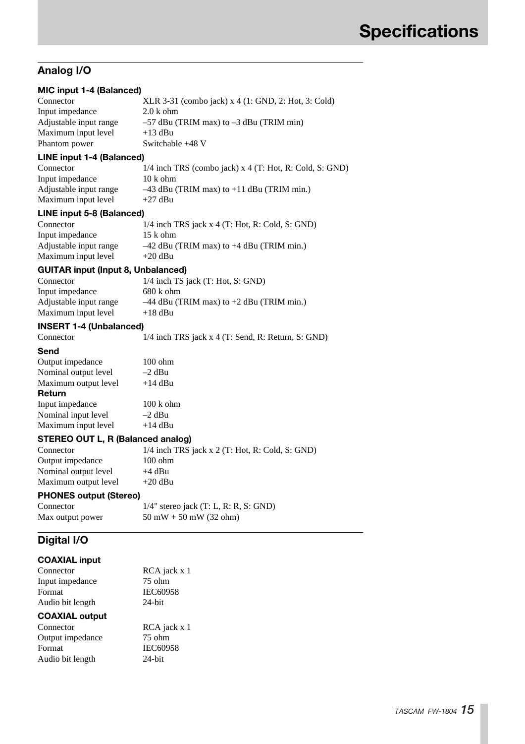## **Analog I/O**

| MIC input 1-4 (Balanced)                  |                                                             |
|-------------------------------------------|-------------------------------------------------------------|
| Connector                                 | XLR 3-31 (combo jack) x 4 (1: GND, 2: Hot, 3: Cold)         |
| Input impedance                           | $2.0k$ ohm                                                  |
| Adjustable input range                    | $-57$ dBu (TRIM max) to $-3$ dBu (TRIM min)                 |
| Maximum input level                       | $+13$ dBu                                                   |
| Phantom power                             | Switchable +48 V                                            |
| <b>LINE input 1-4 (Balanced)</b>          |                                                             |
| Connector                                 | $1/4$ inch TRS (combo jack) x $4$ (T: Hot, R: Cold, S: GND) |
| Input impedance                           | $10k$ ohm                                                   |
| Adjustable input range                    | $-43$ dBu (TRIM max) to +11 dBu (TRIM min.)                 |
| Maximum input level                       | $+27$ dBu                                                   |
| LINE input 5-8 (Balanced)                 |                                                             |
| Connector                                 | $1/4$ inch TRS jack x 4 (T: Hot, R: Cold, S: GND)           |
| Input impedance                           | $15k$ ohm                                                   |
| Adjustable input range                    | $-42$ dBu (TRIM max) to $+4$ dBu (TRIM min.)                |
| Maximum input level                       | +20 dBu                                                     |
| <b>GUITAR input (Input 8, Unbalanced)</b> |                                                             |
| Connector                                 | 1/4 inch TS jack (T: Hot, S: GND)                           |
| Input impedance                           | $680k$ ohm                                                  |
| Adjustable input range                    | $-44$ dBu (TRIM max) to $+2$ dBu (TRIM min.)                |
| Maximum input level                       | $+18$ dBu                                                   |
| <b>INSERT 1-4 (Unbalanced)</b>            |                                                             |
| Connector                                 | 1/4 inch TRS jack x 4 (T: Send, R: Return, S: GND)          |
| Send                                      |                                                             |
| Output impedance                          | $100 \text{ ohm}$                                           |
| Nominal output level                      | $-2$ dBu                                                    |
| Maximum output level                      | $+14$ dBu                                                   |
| <b>Return</b>                             |                                                             |
| Input impedance                           | $100 \text{ k}$ ohm                                         |
| Nominal input level                       | $-2$ dBu                                                    |
| Maximum input level                       | $+14$ dBu                                                   |
| <b>STEREO OUT L, R (Balanced analog)</b>  |                                                             |
| Connector                                 | 1/4 inch TRS jack x 2 (T: Hot, R: Cold, S: GND)             |
| Output impedance                          | $100 \rho$                                                  |
| Nominal output level                      | $+4$ dBu                                                    |
| Maximum output level                      | $+20$ dBu                                                   |
| <b>PHONES output (Stereo)</b>             |                                                             |
| Connector                                 | $1/4$ " stereo jack (T: L, R: R, S: GND)                    |
| Max output power                          | $50$ mW $+ 50$ mW (32 ohm)                                  |
| Digital I/O                               |                                                             |
| <b>COAXIAL input</b>                      |                                                             |

| <b>UUMME IIIDUL</b>   |                 |
|-----------------------|-----------------|
| Connector             | RCA jack x 1    |
| Input impedance       | $75$ ohm        |
| Format                | <b>IEC60958</b> |
| Audio bit length      | $24$ -bit       |
| <b>COAXIAL output</b> |                 |
| Connector             | $RCA$ iack x 1  |

| Connector        | RCA jack x 1    |
|------------------|-----------------|
| Output impedance | $75$ ohm        |
| Format           | <b>IEC60958</b> |
| Audio bit length | $24$ -bit       |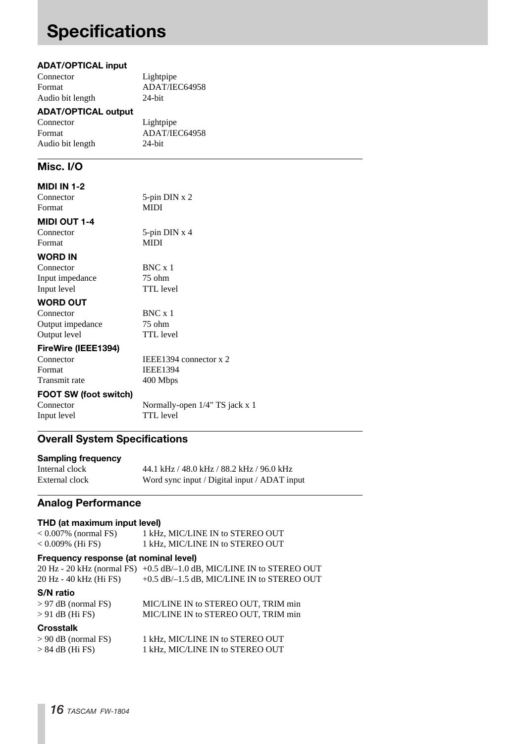# **Specifications**

## **ADAT/OPTICAL input**

| Connector        | Lightpipe     |
|------------------|---------------|
| Format           | ADAT/IEC64958 |
| Audio bit length | $24$ -bit     |
|                  |               |

## **ADAT/OPTICAL output**

| Connector        | Lightpipe     |
|------------------|---------------|
| Format           | ADAT/IEC64958 |
| Audio bit length | $24$ -bit     |

## **Misc. I/O**

## **MIDI IN 1-2**

| Connector                    | 5-pin $DIN \times 2$           |
|------------------------------|--------------------------------|
| Format                       | <b>MIDI</b>                    |
| <b>MIDI OUT 1-4</b>          |                                |
| Connector                    | 5-pin $DIN \times 4$           |
| Format                       | <b>MIDI</b>                    |
| <b>WORD IN</b>               |                                |
| Connector                    | $BNC \times 1$                 |
| Input impedance              | $75$ ohm                       |
| Input level                  | <b>TTL</b> level               |
| <b>WORD OUT</b>              |                                |
| Connector                    | BNC x 1                        |
| Output impedance             | 75 ohm                         |
| Output level                 | <b>TTL</b> level               |
| FireWire (IEEE1394)          |                                |
| Connector                    | IEEE1394 connector $x$ 2       |
| Format                       | <b>IEEE1394</b>                |
| Transmit rate                | 400 Mbps                       |
| <b>FOOT SW (foot switch)</b> |                                |
| Connector                    | Normally-open 1/4" TS jack x 1 |
| Input level                  | <b>TTL</b> level               |

## **Overall System Specifications**

| <b>Sampling frequency</b> |                                              |
|---------------------------|----------------------------------------------|
| Internal clock            | 44.1 kHz / 48.0 kHz / 88.2 kHz / 96.0 kHz    |
| External clock            | Word sync input / Digital input / ADAT input |

## **Analog Performance**

## **THD (at maximum input level)**

| $< 0.007\%$ (normal FS)               | 1 kHz, MIC/LINE IN to STEREO OUT                                      |
|---------------------------------------|-----------------------------------------------------------------------|
| $< 0.009\%$ (Hi FS)                   | 1 kHz, MIC/LINE IN to STEREO OUT                                      |
| Frequency response (at nominal level) |                                                                       |
|                                       | 20 Hz - 20 kHz (normal FS) +0.5 dB/-1.0 dB, MIC/LINE IN to STEREO OUT |
| 20 Hz - 40 kHz (Hi FS)                | $+0.5$ dB/ $-1.5$ dB, MIC/LINE IN to STEREO OUT                       |
| <b>S/N</b> ratio                      |                                                                       |
| $> 97$ dB (normal FS)                 | MIC/LINE IN to STEREO OUT, TRIM min                                   |
| $> 91$ dB (Hi FS)                     | MIC/LINE IN to STEREO OUT, TRIM min                                   |
| <b>Crosstalk</b>                      |                                                                       |
| $> 90$ dB (normal FS)                 | 1 kHz, MIC/LINE IN to STEREO OUT                                      |
| $> 84$ dB (Hi FS)                     | 1 kHz, MIC/LINE IN to STEREO OUT                                      |
|                                       |                                                                       |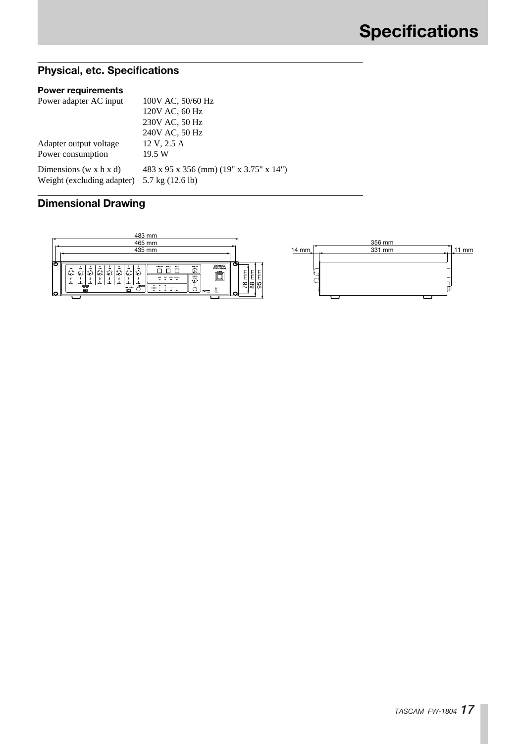## **Physical, etc. Specifications**

## **Power requirements**

| Power adapter AC input         | 100V AC, 50/60 Hz                       |
|--------------------------------|-----------------------------------------|
|                                | 120V AC, 60 Hz                          |
|                                | 230V AC, 50 Hz                          |
|                                | 240V AC, 50 Hz                          |
| Adapter output voltage         | 12 V, 2.5 A                             |
| Power consumption              | 19.5 W                                  |
| Dimensions (w x $h \times d$ ) | 483 x 95 x 356 (mm) (19" x 3.75" x 14") |
| Weight (excluding adapter)     | 5.7 kg $(12.6 \text{ lb})$              |

## **Dimensional Drawing**



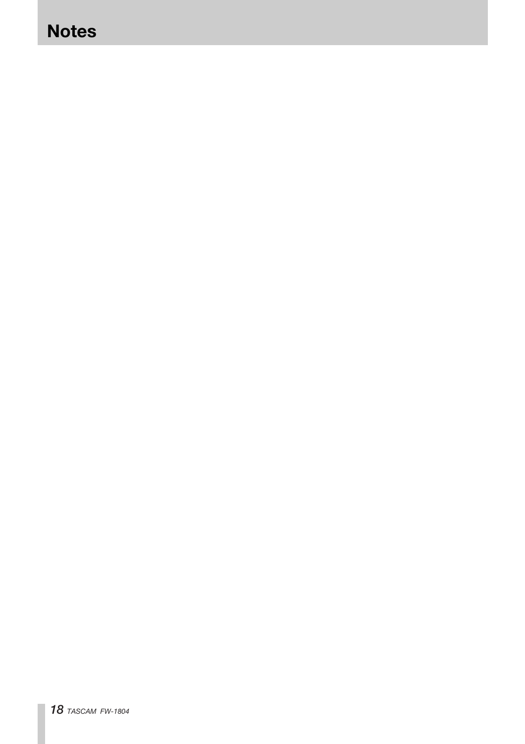## **Notes**